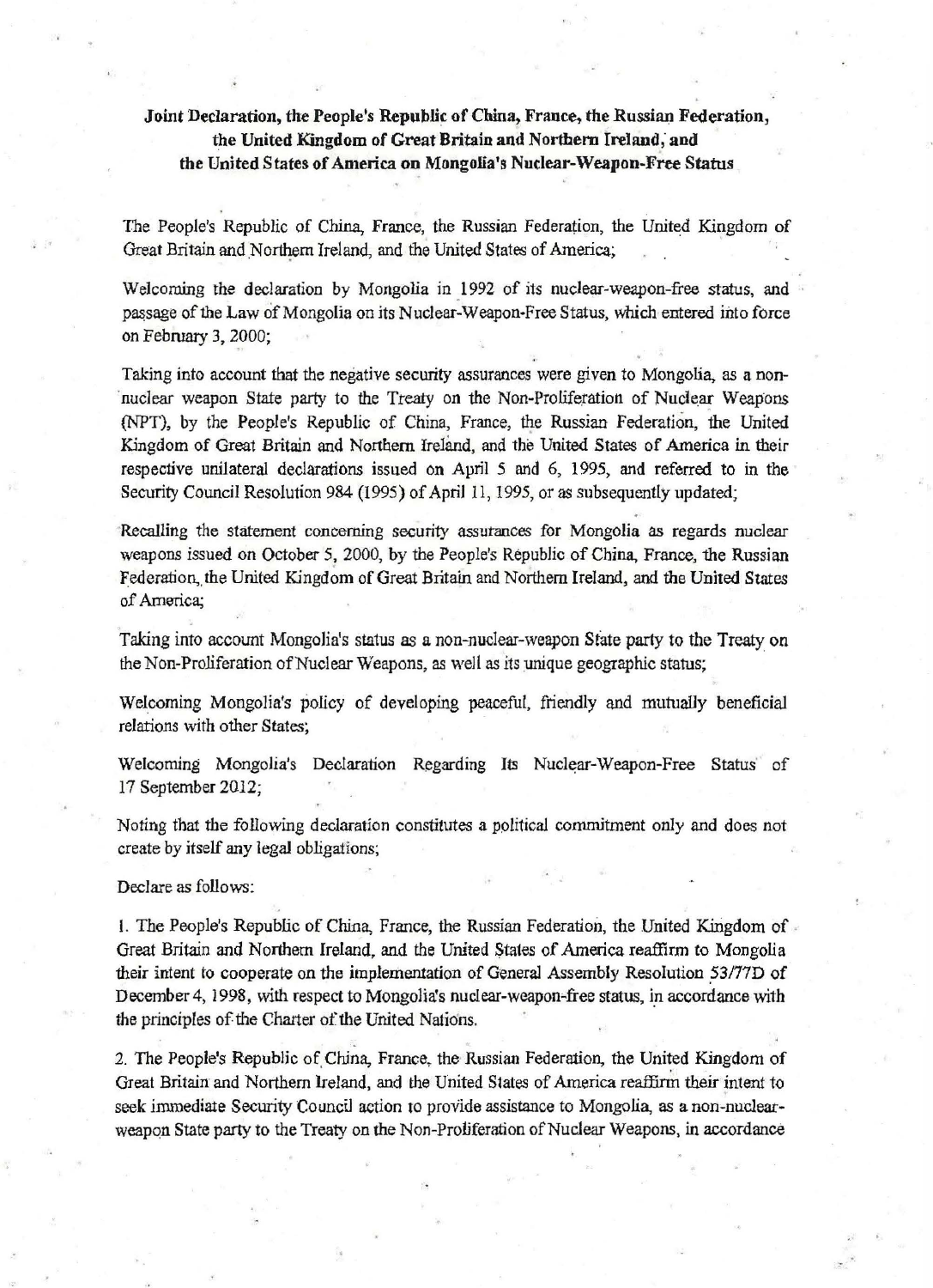## Joint Declaration, the People's Republic of China, France, the Russian Federation, the United Kingdom of Great Britain and Northern Ireland, and the United States of America on Mongolia's Nuclear-Weapon-Free Status

The People's Republic of China, France, the Russian Federation, the United Kingdom of Great Britain and Northern Ireland, and the United States of America;

Welcoming the declaration by Mongolia in 1992 of its nuclear-weapon-free status, and passage of the Law of Mongolia on its Nuclear-Weapon-Free Status, which entered into force on February 3, 2000;

Taking into account that the negative security assurances were given to Mongolia, as a non nuclear weapon State party to the Treaty on the Non-Proliferation of Nuclear Weapons (NPT), by the People's Republic of China, France, the Russian Federation, the United Kingdom of Great Britain and Northern Ireland, and the United States of America in their respective unilateral declarations issued on April 5 and 6, 1995, and referred to in the Security Council Resolution 984 (1995) of April 11, 1995, or as subsequently updated;

Recalling the statement concerning security assurances for Mongolia as regards nuclear weapons issued on October 5, 2000, by the People's Republic of China, France, the Russian Federation, the United Kingdom of Great Britain and Northern Ireland, and the United States of America;

Taking into account Mongolia's status as a non-nuclear-weapon State party to the Treaty on the Non-Proliferation of Nuclear Weapons, as well as its unique geographic status;

Welcoming Mongolia's policy of developing peaceful, friendly and mutually beneficial relations with other States;

Welcoming Mongolia's Declaration Regarding Its Nuclear-Weapon-Free Status' of 17 September 2012;

Noting that the following declaration constitutes a political commitment only and does not create by itself any legaJ obligations;

Declare as follows:

L The People's Republic of China, France, the Russian Federation, the United Kingdom of . Great Britain and Northern Ireland, and the United States of America reaffirm to Mongolia their intent to cooperate on the implementation of General Assembly Resolution \_53/77D of December 4, 1998, with respect to Mongolia's nuclear-weapon-free status, in accordance with the principles of the Charter of the United Nations.

2. The People's Republic of China, France, the Russian Federation, the United Kingdom of Great Britain and Northern Ireland, and the United States of America reaffirm their intent to seek immediate Security Council action to provide assistance to Mongolia, as a non-nuclearweapon State party to the Treaty on the Non-Proliferation of Nuclear Weapons, in accordance